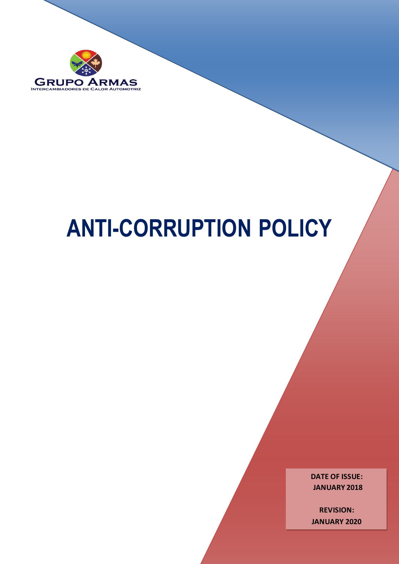

# **ANTI-CORRUPTION POLICY**

**DATE OF ISSUE: JANUARY 2018**

**REVISION: JANUARY 2020**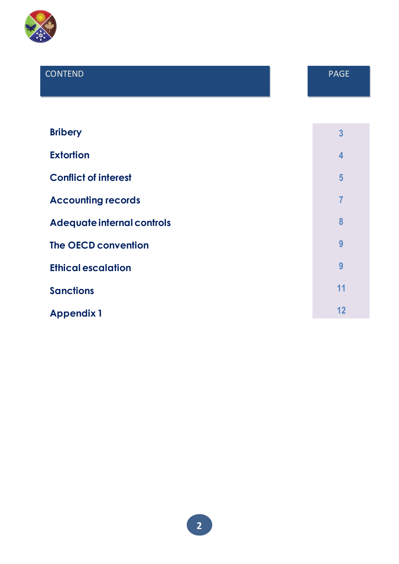

# CONTEND PAGE

| <b>Bribery</b>              | $\overline{3}$          |
|-----------------------------|-------------------------|
| <b>Extortion</b>            | $\overline{\mathbf{4}}$ |
| <b>Conflict of interest</b> | 5                       |
| <b>Accounting records</b>   | 7                       |
| Adequate internal controls  | 8                       |
| <b>The OECD convention</b>  | 9                       |
| <b>Ethical escalation</b>   | 9                       |
| <b>Sanctions</b>            | 11                      |
| <b>Appendix 1</b>           | 12                      |

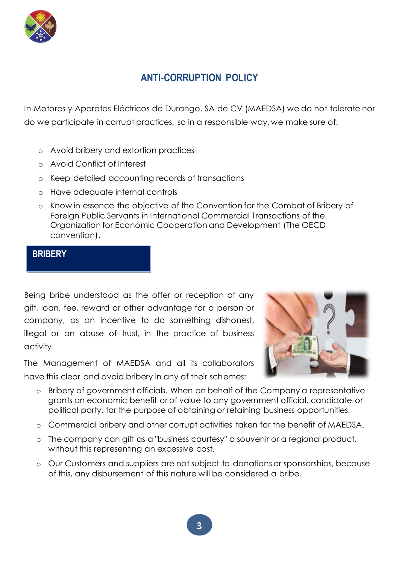

# **ANTI-CORRUPTION POLICY**

In Motores y Aparatos Eléctricos de Durango, SA de CV (MAEDSA) we do not tolerate nor do we participate in corrupt practices, so in a responsible way, we make sure of:

- o Avoid bribery and extortion practices
- o Avoid Conflict of Interest
- o Keep detailed accounting records of transactions
- o Have adequate internal controls
- o Know in essence the objective of the Convention for the Combat of Bribery of Foreign Public Servants in International Commercial Transactions of the Organization for Economic Cooperation and Development (The OECD convention).

## **BRIBERY**

Being bribe understood as the offer or reception of any gift, loan, fee, reward or other advantage for a person or company, as an incentive to do something dishonest, illegal or an abuse of trust, in the practice of business activity.

The Management of MAEDSA and all its collaborators have this clear and avoid bribery in any of their schemes:



- o Bribery of government officials. When on behalf of the Company a representative grants an economic benefit or of value to any government official, candidate or political party, for the purpose of obtaining or retaining business opportunities.
- o Commercial bribery and other corrupt activities taken for the benefit of MAEDSA.
- o The company can gift as a "business courtesy" a souvenir or a regional product, without this representing an excessive cost.
- o Our Customers and suppliers are not subject to donations or sponsorships, because of this, any disbursement of this nature will be considered a bribe.

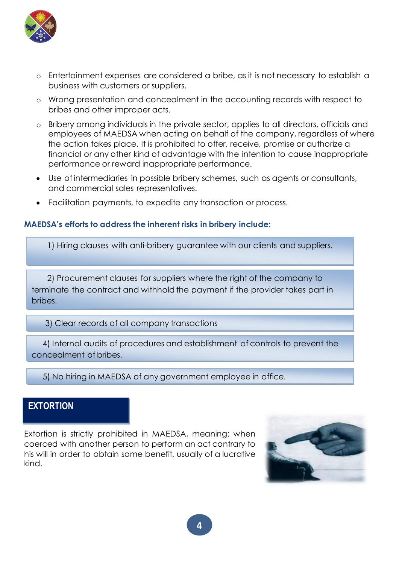

- o Entertainment expenses are considered a bribe, as it is not necessary to establish a business with customers or suppliers.
- o Wrong presentation and concealment in the accounting records with respect to bribes and other improper acts.
- o Bribery among individuals in the private sector, applies to all directors, officials and employees of MAEDSA when acting on behalf of the company, regardless of where the action takes place. It is prohibited to offer, receive, promise or authorize a financial or any other kind of advantage with the intention to cause inappropriate performance or reward inappropriate performance.
- Use of intermediaries in possible bribery schemes, such as agents or consultants, and commercial sales representatives.
- Facilitation payments, to expedite any transaction or process.

#### **MAEDSA's efforts to address the inherent risks in bribery include:**

1) Hiring clauses with anti-bribery guarantee with our clients and suppliers.

 2) Procurement clauses for suppliers where the right of the company to terminate the contract and withhold the payment if the provider takes part in bribes.

3) Clear records of all company transactions

 4) Internal audits of procedures and establishment of controls to prevent the concealment of bribes.

5) No hiring in MAEDSA of any government employee in office.

#### **EXTORTION**

Extortion is strictly prohibited in MAEDSA, meaning: when coerced with another person to perform an act contrary to his will in order to obtain some benefit, usually of a lucrative kind.



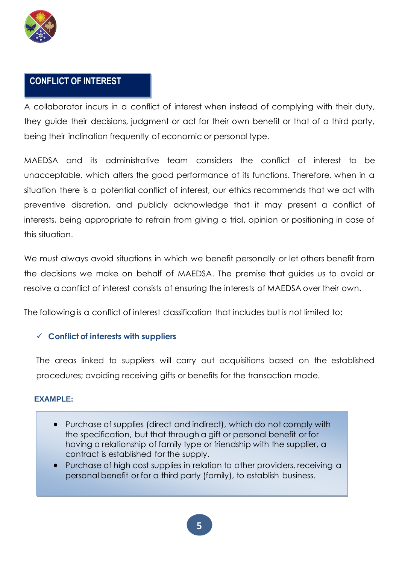

# **CONFLICT OF INTEREST**

A collaborator incurs in a conflict of interest when instead of complying with their duty, they guide their decisions, judgment or act for their own benefit or that of a third party, being their inclination frequently of economic or personal type.

MAEDSA and its administrative team considers the conflict of interest to be unacceptable, which alters the good performance of its functions. Therefore, when in a situation there is a potential conflict of interest, our ethics recommends that we act with preventive discretion, and publicly acknowledge that it may present a conflict of interests, being appropriate to refrain from giving a trial, opinion or positioning in case of this situation.

We must always avoid situations in which we benefit personally or let others benefit from the decisions we make on behalf of MAEDSA. The premise that guides us to avoid or resolve a conflict of interest consists of ensuring the interests of MAEDSA over their own.

The following is a conflict of interest classification that includes but is not limited to:

#### ✓ **Conflict of interests with suppliers**

The areas linked to suppliers will carry out acquisitions based on the established procedures; avoiding receiving gifts or benefits for the transaction made.

#### **EXAMPLE:**

- Purchase of supplies (direct and indirect), which do not comply with the specification, but that through a gift or personal benefit or for having a relationship of family type or friendship with the supplier, a contract is established for the supply.
- Purchase of high cost supplies in relation to other providers, receiving a personal benefit or for a third party (family), to establish business.

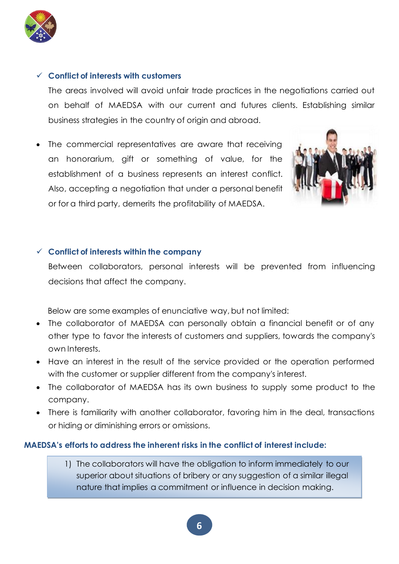

#### ✓ **Conflict of interests with customers**

The areas involved will avoid unfair trade practices in the negotiations carried out on behalf of MAEDSA with our current and futures clients. Establishing similar business strategies in the country of origin and abroad.

The commercial representatives are aware that receiving an honorarium, gift or something of value, for the establishment of a business represents an interest conflict. Also, accepting a negotiation that under a personal benefit or for a third party, demerits the profitability of MAEDSA.



#### ✓ **Conflict of interests within the company**

Between collaborators, personal interests will be prevented from influencing decisions that affect the company.

Below are some examples of enunciative way, but not limited:

- The collaborator of MAEDSA can personally obtain a financial benefit or of any other type to favor the interests of customers and suppliers, towards the company's own Interests.
- Have an interest in the result of the service provided or the operation performed with the customer or supplier different from the company's interest.
- The collaborator of MAEDSA has its own business to supply some product to the company.
- There is familiarity with another collaborator, favoring him in the deal, transactions or hiding or diminishing errors or omissions.

#### **MAEDSA's efforts to address the inherent risks in the conflict of interest include:**

1) The collaborators will have the obligation to inform immediately to our superior about situations of bribery or any suggestion of a similar illegal nature that implies a commitment or influence in decision making.

**6**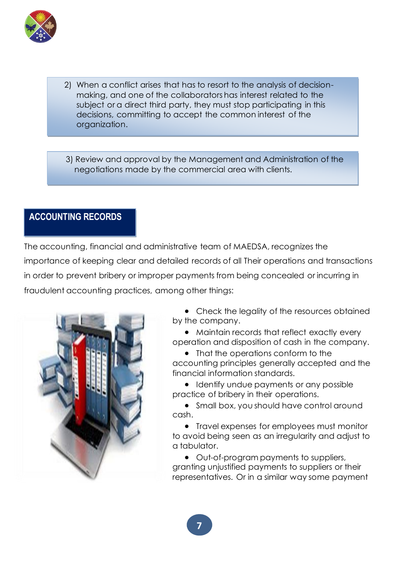

- 2) When a conflict arises that has to resort to the analysis of decisionmaking, and one of the collaborators has interest related to the subject or a direct third party, they must stop participating in this decisions, committing to accept the common interest of the organization.
- 3) Review and approval by the Management and Administration of the negotiations made by the commercial area with clients.

# **ACCOUNTING RECORDS**

The accounting, financial and administrative team of MAEDSA, recognizes the importance of keeping clear and detailed records of all Their operations and transactions in order to prevent bribery or improper payments from being concealed or incurring in fraudulent accounting practices, among other things:



• Check the legality of the resources obtained by the company.

• Maintain records that reflect exactly every operation and disposition of cash in the company.

• That the operations conform to the accounting principles generally accepted and the financial information standards.

• Identify undue payments or any possible practice of bribery in their operations.

• Small box, you should have control around cash.

• Travel expenses for employees must monitor to avoid being seen as an irregularity and adjust to a tabulator.

• Out-of-program payments to suppliers, granting unjustified payments to suppliers or their representatives. Or in a similar way some payment

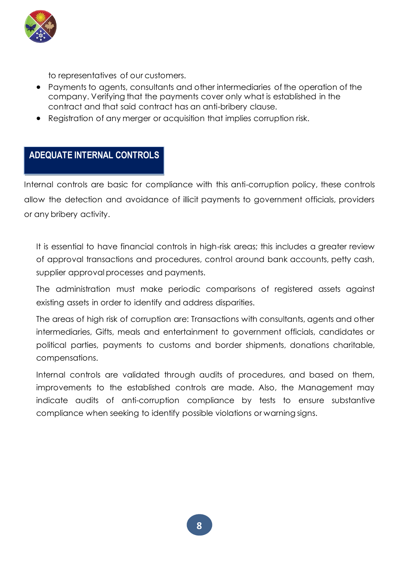

to representatives of our customers.

- Payments to agents, consultants and other intermediaries of the operation of the company. Verifying that the payments cover only what is established in the contract and that said contract has an anti-bribery clause.
- Registration of any merger or acquisition that implies corruption risk.

## **ADEQUATE INTERNAL CONTROLS**

Internal controls are basic for compliance with this anti-corruption policy, these controls allow the detection and avoidance of illicit payments to government officials, providers or any bribery activity.

It is essential to have financial controls in high-risk areas; this includes a greater review of approval transactions and procedures, control around bank accounts, petty cash, supplier approval processes and payments.

The administration must make periodic comparisons of registered assets against existing assets in order to identify and address disparities.

The areas of high risk of corruption are: Transactions with consultants, agents and other intermediaries, Gifts, meals and entertainment to government officials, candidates or political parties, payments to customs and border shipments, donations charitable, compensations.

Internal controls are validated through audits of procedures, and based on them, improvements to the established controls are made. Also, the Management may indicate audits of anti-corruption compliance by tests to ensure substantive compliance when seeking to identify possible violations or warning signs.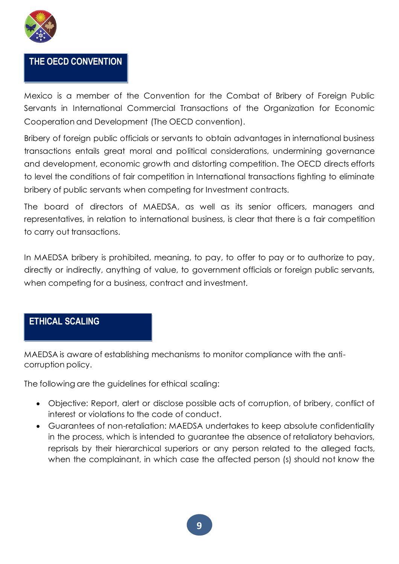

# **THE OECD CONVENTION**

Mexico is a member of the Convention for the Combat of Bribery of Foreign Public Servants in International Commercial Transactions of the Organization for Economic Cooperation and Development (The OECD convention).

Bribery of foreign public officials or servants to obtain advantages in international business transactions entails great moral and political considerations, undermining governance and development, economic growth and distorting competition. The OECD directs efforts to level the conditions of fair competition in International transactions fighting to eliminate bribery of public servants when competing for Investment contracts.

The board of directors of MAEDSA, as well as its senior officers, managers and representatives, in relation to international business, is clear that there is a fair competition to carry out transactions.

In MAEDSA bribery is prohibited, meaning, to pay, to offer to pay or to authorize to pay, directly or indirectly, anything of value, to government officials or foreign public servants, when competing for a business, contract and investment.

# **ETHICAL SCALING**

MAEDSA is aware of establishing mechanisms to monitor compliance with the anticorruption policy.

The following are the guidelines for ethical scaling:

- Objective: Report, alert or disclose possible acts of corruption, of bribery, conflict of interest or violations to the code of conduct.
- Guarantees of non-retaliation: MAEDSA undertakes to keep absolute confidentiality in the process, which is intended to guarantee the absence of retaliatory behaviors, reprisals by their hierarchical superiors or any person related to the alleged facts, when the complainant, in which case the affected person (s) should not know the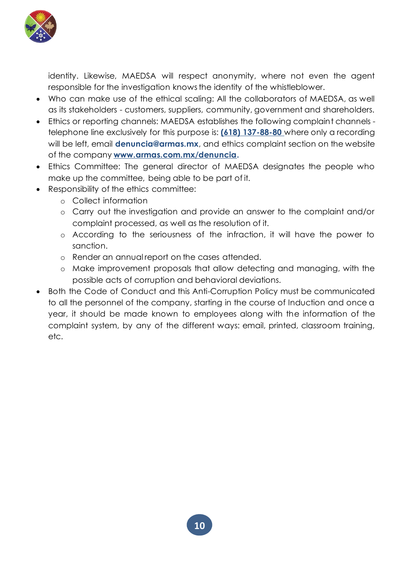

identity. Likewise, MAEDSA will respect anonymity, where not even the agent responsible for the investigation knows the identity of the whistleblower.

- Who can make use of the ethical scaling: All the collaborators of MAEDSA, as well as its stakeholders - customers, suppliers, community, government and shareholders.
- Ethics or reporting channels: MAEDSA establishes the following complaint channels telephone line exclusively for this purpose is: **(618) 137-88-80** where only a recording will be left, email **denuncia@armas.mx**, and ethics complaint section on the website of the company **www.armas.com.mx/denuncia.**
- Ethics Committee: The general director of MAEDSA designates the people who make up the committee, being able to be part of it.
- Responsibility of the ethics committee:
	- o Collect information
	- o Carry out the investigation and provide an answer to the complaint and/or complaint processed, as well as the resolution of it.
	- o According to the seriousness of the infraction, it will have the power to sanction.
	- o Render an annual report on the cases attended.
	- o Make improvement proposals that allow detecting and managing, with the possible acts of corruption and behavioral deviations.
- Both the Code of Conduct and this Anti-Corruption Policy must be communicated to all the personnel of the company, starting in the course of Induction and once a year, it should be made known to employees along with the information of the complaint system, by any of the different ways: email, printed, classroom training, etc.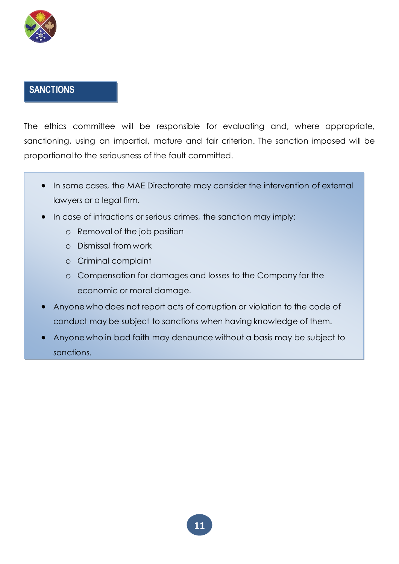

# **SANCTIONS**

The ethics committee will be responsible for evaluating and, where appropriate, sanctioning, using an impartial, mature and fair criterion. The sanction imposed will be proportional to the seriousness of the fault committed.

- In some cases, the MAE Directorate may consider the intervention of external lawyers or a legal firm.
- In case of infractions or serious crimes, the sanction may imply:
	- o Removal of the job position
	- o Dismissal from work
	- o Criminal complaint
	- o Compensation for damages and losses to the Company for the economic or moral damage.
- Anyone who does not report acts of corruption or violation to the code of conduct may be subject to sanctions when having knowledge of them.
- Anyone who in bad faith may denounce without a basis may be subject to sanctions.